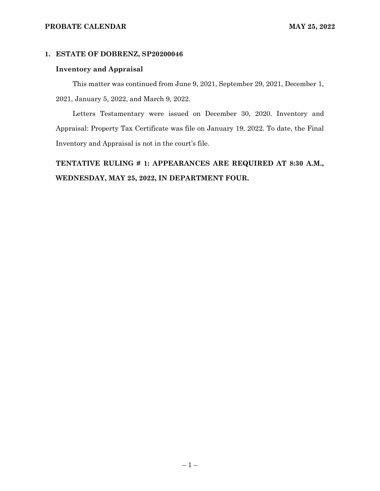## **PROBATE CALENDAR MAY 25, 2022**

## **1. ESTATE OF DOBRENZ, SP20200046**

## **Inventory and Appraisal**

This matter was continued from June 9, 2021, September 29, 2021, December 1, 2021, January 5, 2022, and March 9, 2022.

Letters Testamentary were issued on December 30, 2020. Inventory and Appraisal: Property Tax Certificate was file on January 19, 2022. To date, the Final Inventory and Appraisal is not in the court's file.

**TENTATIVE RULING # 1: APPEARANCES ARE REQUIRED AT 8:30 A.M., WEDNESDAY, MAY 25, 2022, IN DEPARTMENT FOUR.**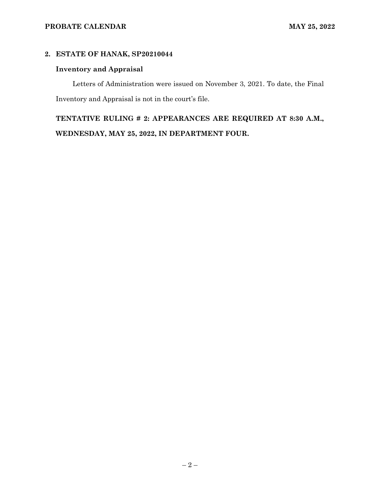# **2. ESTATE OF HANAK, SP20210044**

# **Inventory and Appraisal**

Letters of Administration were issued on November 3, 2021. To date, the Final Inventory and Appraisal is not in the court's file.

**TENTATIVE RULING # 2: APPEARANCES ARE REQUIRED AT 8:30 A.M., WEDNESDAY, MAY 25, 2022, IN DEPARTMENT FOUR.**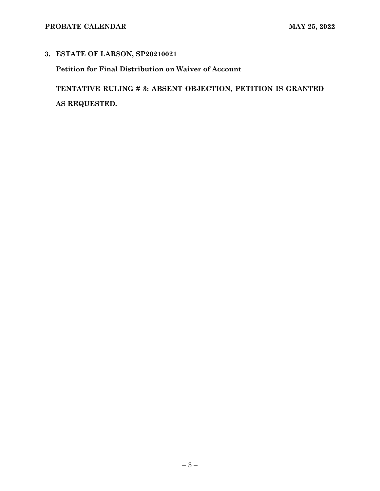# **3. ESTATE OF LARSON, SP20210021**

**Petition for Final Distribution on Waiver of Account**

**TENTATIVE RULING # 3: ABSENT OBJECTION, PETITION IS GRANTED AS REQUESTED.**